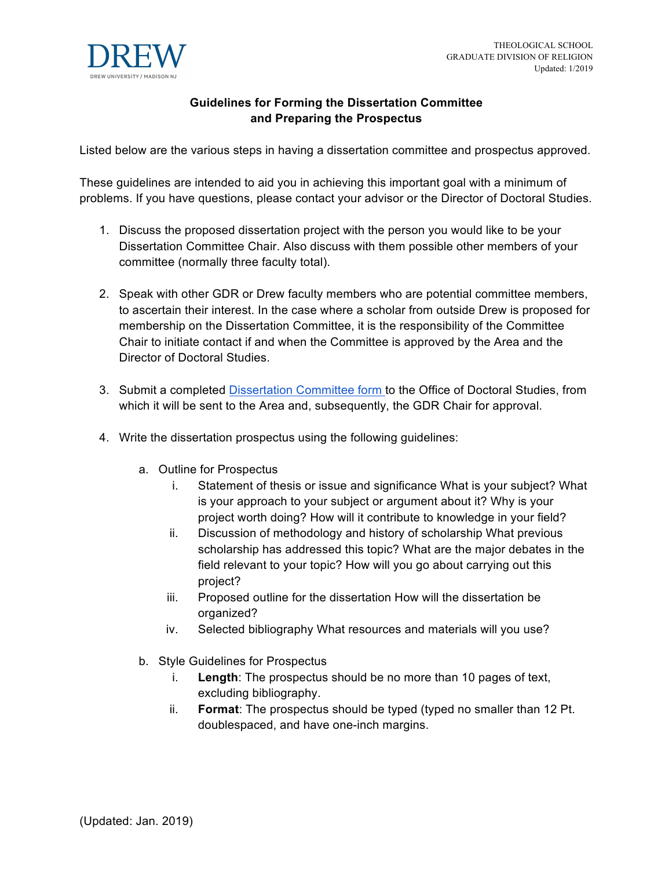

## **Guidelines for Forming the Dissertation Committee and Preparing the Prospectus**

Listed below are the various steps in having a dissertation committee and prospectus approved.

These guidelines are intended to aid you in achieving this important goal with a minimum of problems. If you have questions, please contact your advisor or the Director of Doctoral Studies.

- 1. Discuss the proposed dissertation project with the person you would like to be your Dissertation Committee Chair. Also discuss with them possible other members of your committee (normally three faculty total).
- 2. Speak with other GDR or Drew faculty members who are potential committee members, to ascertain their interest. In the case where a scholar from outside Drew is proposed for membership on the Dissertation Committee, it is the responsibility of the Committee Chair to initiate contact if and when the Committee is approved by the Area and the Director of Doctoral Studies.
- 3. Submit a completed Dissertation Committee form to the Office of Doctoral Studies, from which it will be sent to the Area and, subsequently, the GDR Chair for approval.
- 4. Write the dissertation prospectus using the following guidelines:
	- a. Outline for Prospectus
		- i. Statement of thesis or issue and significance What is your subject? What is your approach to your subject or argument about it? Why is your project worth doing? How will it contribute to knowledge in your field?
		- ii. Discussion of methodology and history of scholarship What previous scholarship has addressed this topic? What are the major debates in the field relevant to your topic? How will you go about carrying out this project?
		- iii. Proposed outline for the dissertation How will the dissertation be organized?
		- iv. Selected bibliography What resources and materials will you use?
	- b. Style Guidelines for Prospectus
		- i. **Length**: The prospectus should be no more than 10 pages of text, excluding bibliography.
		- ii. **Format**: The prospectus should be typed (typed no smaller than 12 Pt. doublespaced, and have one-inch margins.